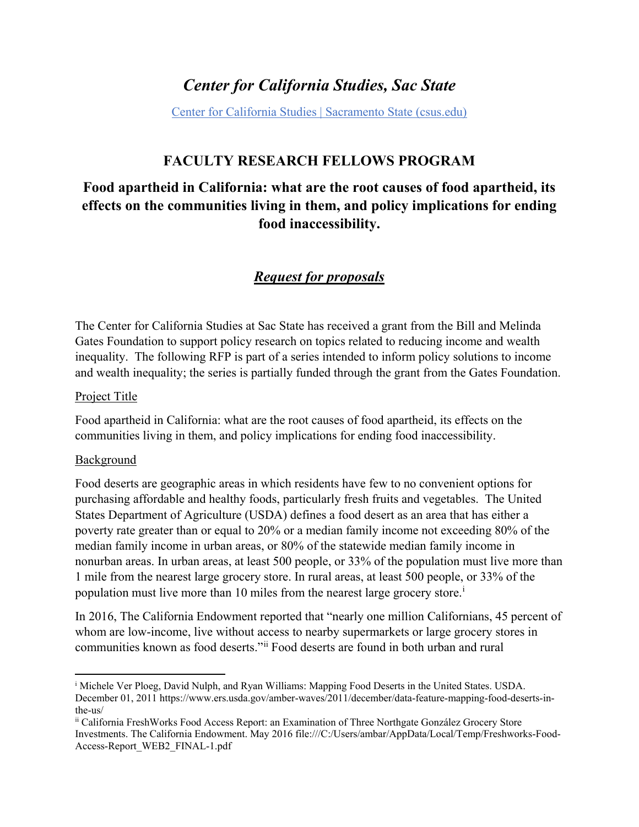# *Center for California Studies, Sac State*

[Center for California Studies | Sacramento State \(csus.edu\)](https://www.csus.edu/center/center-california-studies/)

## **FACULTY RESEARCH FELLOWS PROGRAM**

## **Food apartheid in California: what are the root causes of food apartheid, its effects on the communities living in them, and policy implications for ending food inaccessibility.**

## *Request for proposals*

The Center for California Studies at Sac State has received a grant from the Bill and Melinda Gates Foundation to support policy research on topics related to reducing income and wealth inequality. The following RFP is part of a series intended to inform policy solutions to income and wealth inequality; the series is partially funded through the grant from the Gates Foundation.

#### Project Title

Food apartheid in California: what are the root causes of food apartheid, its effects on the communities living in them, and policy implications for ending food inaccessibility.

#### Background

 $\overline{a}$ 

Food deserts are geographic areas in which residents have few to no convenient options for purchasing affordable and healthy foods, particularly fresh fruits and vegetables. The United States Department of Agriculture (USDA) defines a food desert as an area that has either a poverty rate greater than or equal to 20% or a median family income not exceeding 80% of the median family income in urban areas, or 80% of the statewide median family income in nonurban areas. In urban areas, at least 500 people, or 33% of the population must live more than 1 mile from the nearest large grocery store. In rural areas, at least 500 people, or 33% of the populat[i](#page-0-0)on must live more than 10 miles from the nearest large grocery store.<sup>i</sup>

In 2016, The California Endowment reported that "nearly one million Californians, 45 percent of whom are low-income, live without access to nearby supermarkets or large grocery stores in communities known as food deserts."[ii](#page-0-1) Food deserts are found in both urban and rural

<span id="page-0-0"></span><sup>i</sup> Michele Ver Ploeg, David Nulph, and Ryan Williams: Mapping Food Deserts in the United States. USDA. December 01, 2011 https://www.ers.usda.gov/amber-waves/2011/december/data-feature-mapping-food-deserts-inthe-us/<br><sup>ii</sup> California FreshWorks Food Access Report: an Examination of Three Northgate González Grocery Store

<span id="page-0-1"></span>Investments. The California Endowment. May 2016 file:///C:/Users/ambar/AppData/Local/Temp/Freshworks-Food-Access-Report\_WEB2\_FINAL-1.pdf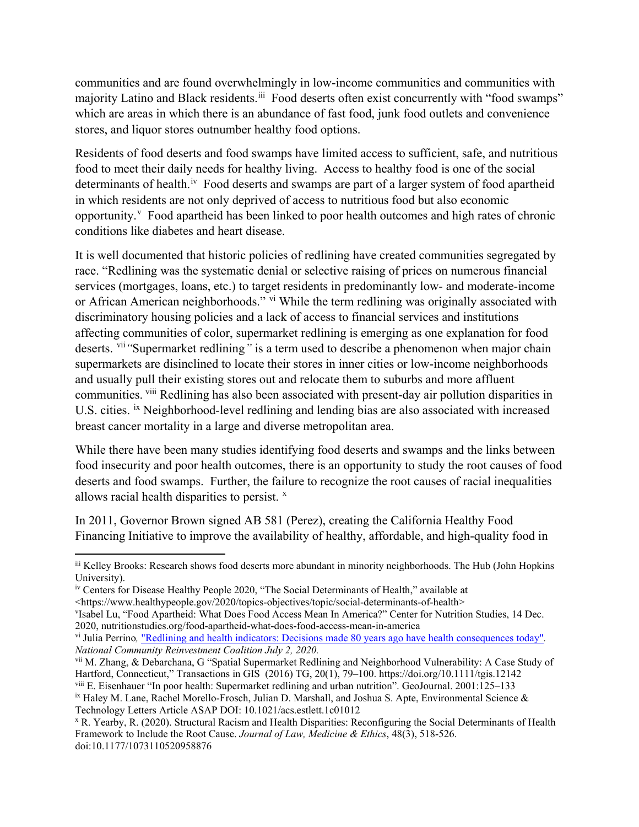communities and are found overwhelmingly in low-income communities and communities with majority Latino and Black residents.<sup>[iii](#page-1-0)</sup> Food deserts often exist concurrently with "food swamps" which are areas in which there is an abundance of fast food, junk food outlets and convenience stores, and liquor stores outnumber healthy food options.

Residents of food deserts and food swamps have limited access to sufficient, safe, and nutritious food to meet their daily needs for healthy living. Access to healthy food is one of the social determinants of health.<sup>[iv](#page-1-1)</sup> Food deserts and swamps are part of a larger system of food apartheid in which residents are not only deprived of access to nutritious food but also economic opportunity.<sup>[v](#page-1-2)</sup> Food apartheid has been linked to poor health outcomes and high rates of chronic conditions like diabetes and heart disease.

It is well documented that historic policies of redlining have created communities segregated by race. "Redlining was the systematic denial or selective raising of prices on numerous financial services (mortgages, loans, etc.) to target residents in predominantly low- and moderate-income or African American neighborhoods." [vi](#page-1-3) While the term redlining was originally associated with discriminatory housing policies and a lack of access to financial services and institutions affecting communities of color, supermarket redlining is emerging as one explanation for food deserts. [vii](#page-1-4)*"*Supermarket redlining*"* is a term used to describe a phenomenon when major chain supermarkets are disinclined to locate their stores in inner cities or low-income neighborhoods and usually pull their existing stores out and relocate them to suburbs and more affluent communities. <sup>[viii](#page-1-5)</sup> Redlining has also been associated with present-day air pollution disparities in U.S. cities. [ix](#page-1-6) Neighborhood-level redlining and lending bias are also associated with increased breast cancer mortality in a large and diverse metropolitan area.

While there have been many studies identifying food deserts and swamps and the links between food insecurity and poor health outcomes, there is an opportunity to study the root causes of food deserts and food swamps. Further, the failure to recognize the root causes of racial inequalities allows racial health disparities to persist.  $x$ 

In 2011, Governor Brown signed AB 581 (Perez), creating the California Healthy Food Financing Initiative to improve the availability of healthy, affordable, and high-quality food in

 $\overline{\phantom{a}}$ 

<span id="page-1-0"></span>iii Kelley Brooks: Research shows food deserts more abundant in minority neighborhoods. The Hub (John Hopkins University).

<span id="page-1-1"></span>iv Centers for Disease Healthy People 2020, "The Social Determinants of Health," available at <https://www.healthypeople.gov/2020/topics-objectives/topic/social-determinants-of-health>

<span id="page-1-2"></span>v Isabel Lu, "Food Apartheid: What Does Food Access Mean In America?" Center for Nutrition Studies, 14 Dec. 2020, nutritionstudies.org/food-apartheid-what-does-food-access-mean-in-america

<span id="page-1-3"></span>vi Julia Perrino*,* ["Redlining and health indicators: Decisions made 80 years ago have health consequences today"](https://ncrc.org/redlining-and-health-indicators-decisions-made-80-years-ago-have-health-consequences-today/)*. National Community Reinvestment Coalition July 2, 2020.* 

<span id="page-1-4"></span>vii M. Zhang, & Debarchana, G "Spatial Supermarket Redlining and Neighborhood Vulnerability: A Case Study of Hartford, Connecticut," Transactions in GIS (2016) TG, 20(1), 79–100. https://doi.org/10.1111/tgis.12142

<span id="page-1-6"></span><span id="page-1-5"></span>viii E. Eisenhauer "In poor health: Supermarket redlining and urban nutrition". GeoJournal. 2001:125–133  $i<sup>x</sup>$  Haley M. Lane, Rachel Morello-Frosch, Julian D. Marshall, and Joshua S. Apte, Environmental Science & Technology Letters Article ASAP DOI: 10.1021/acs.estlett.1c01012

<span id="page-1-7"></span><sup>x</sup> R. Yearby, R. (2020). Structural Racism and Health Disparities: Reconfiguring the Social Determinants of Health Framework to Include the Root Cause. *Journal of Law, Medicine & Ethics*, 48(3), 518-526. doi:10.1177/1073110520958876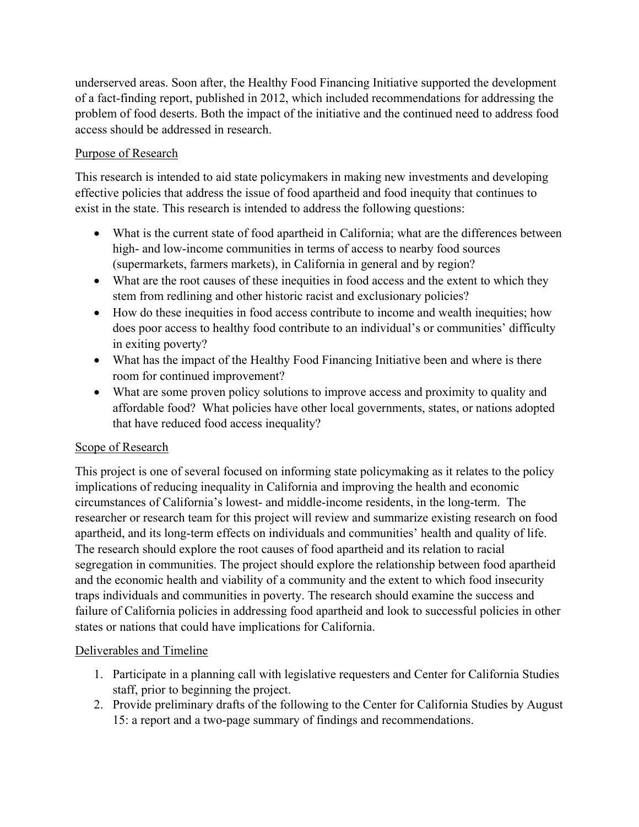underserved areas. Soon after, the Healthy Food Financing Initiative supported the development of a fact-finding report, published in 2012, which included recommendations for addressing the problem of food deserts. Both the impact of the initiative and the continued need to address food access should be addressed in research.

### Purpose of Research

This research is intended to aid state policymakers in making new investments and developing effective policies that address the issue of food apartheid and food inequity that continues to exist in the state. This research is intended to address the following questions:

- What is the current state of food apartheid in California; what are the differences between high- and low-income communities in terms of access to nearby food sources (supermarkets, farmers markets), in California in general and by region?
- What are the root causes of these inequities in food access and the extent to which they stem from redlining and other historic racist and exclusionary policies?
- How do these inequities in food access contribute to income and wealth inequities; how does poor access to healthy food contribute to an individual's or communities' difficulty in exiting poverty?
- What has the impact of the Healthy Food Financing Initiative been and where is there room for continued improvement?
- What are some proven policy solutions to improve access and proximity to quality and affordable food? What policies have other local governments, states, or nations adopted that have reduced food access inequality?

#### Scope of Research

This project is one of several focused on informing state policymaking as it relates to the policy implications of reducing inequality in California and improving the health and economic circumstances of California's lowest- and middle-income residents, in the long-term. The researcher or research team for this project will review and summarize existing research on food apartheid, and its long-term effects on individuals and communities' health and quality of life. The research should explore the root causes of food apartheid and its relation to racial segregation in communities. The project should explore the relationship between food apartheid and the economic health and viability of a community and the extent to which food insecurity traps individuals and communities in poverty. The research should examine the success and failure of California policies in addressing food apartheid and look to successful policies in other states or nations that could have implications for California.

#### Deliverables and Timeline

- 1. Participate in a planning call with legislative requesters and Center for California Studies staff, prior to beginning the project.
- 2. Provide preliminary drafts of the following to the Center for California Studies by August 15: a report and a two-page summary of findings and recommendations.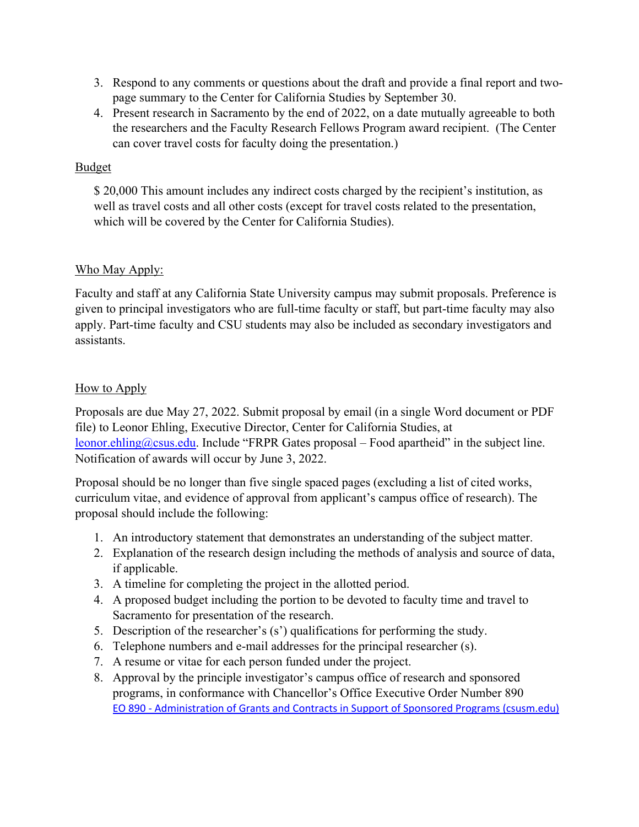- 3. Respond to any comments or questions about the draft and provide a final report and twopage summary to the Center for California Studies by September 30.
- 4. Present research in Sacramento by the end of 2022, on a date mutually agreeable to both the researchers and the Faculty Research Fellows Program award recipient. (The Center can cover travel costs for faculty doing the presentation.)

### Budget

\$ 20,000 This amount includes any indirect costs charged by the recipient's institution, as well as travel costs and all other costs (except for travel costs related to the presentation, which will be covered by the Center for California Studies).

## Who May Apply:

Faculty and staff at any California State University campus may submit proposals. Preference is given to principal investigators who are full-time faculty or staff, but part-time faculty may also apply. Part-time faculty and CSU students may also be included as secondary investigators and assistants.

## How to Apply

Proposals are due May 27, 2022. Submit proposal by email (in a single Word document or PDF file) to Leonor Ehling, Executive Director, Center for California Studies, at [leonor.ehling@csus.edu.](mailto:leonor.ehling@csus.edu) Include "FRPR Gates proposal – Food apartheid" in the subject line. Notification of awards will occur by June 3, 2022.

Proposal should be no longer than five single spaced pages (excluding a list of cited works, curriculum vitae, and evidence of approval from applicant's campus office of research). The proposal should include the following:

- 1. An introductory statement that demonstrates an understanding of the subject matter.
- 2. Explanation of the research design including the methods of analysis and source of data, if applicable.
- 3. A timeline for completing the project in the allotted period.
- 4. A proposed budget including the portion to be devoted to faculty time and travel to Sacramento for presentation of the research.
- 5. Description of the researcher's (s') qualifications for performing the study.
- 6. Telephone numbers and e-mail addresses for the principal researcher (s).
- 7. A resume or vitae for each person funded under the project.
- 8. Approval by the principle investigator's campus office of research and sponsored programs, in conformance with Chancellor's Office Executive Order Number 890 [EO 890 - Administration of Grants and Contracts in Support of Sponsored Programs \(csusm.edu\)](https://www.csusm.edu/gsr/grants_and_contracts_development/gcd_documents/eo-890.pdf)